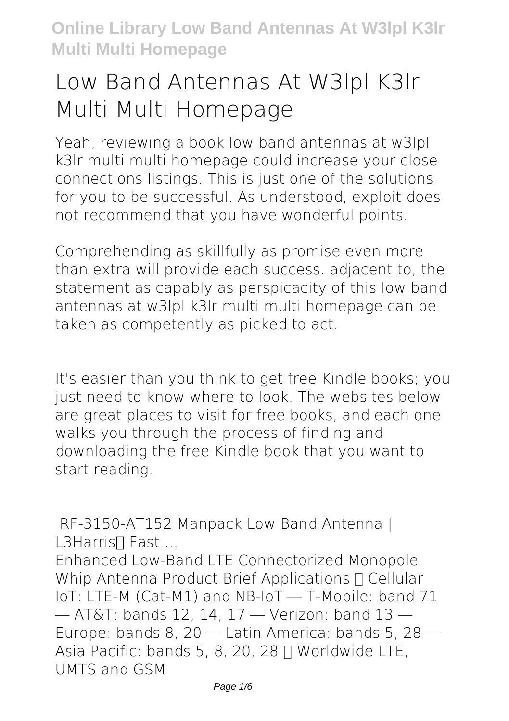## **Low Band Antennas At W3lpl K3lr Multi Multi Homepage**

Yeah, reviewing a book **low band antennas at w3lpl k3lr multi multi homepage** could increase your close connections listings. This is just one of the solutions for you to be successful. As understood, exploit does not recommend that you have wonderful points.

Comprehending as skillfully as promise even more than extra will provide each success. adjacent to, the statement as capably as perspicacity of this low band antennas at w3lpl k3lr multi multi homepage can be taken as competently as picked to act.

It's easier than you think to get free Kindle books; you just need to know where to look. The websites below are great places to visit for free books, and each one walks you through the process of finding and downloading the free Kindle book that you want to start reading.

**RF-3150-AT152 Manpack Low Band Antenna |** L3Harris∏ Fast ...

Enhanced Low-Band LTE Connectorized Monopole Whip Antenna Product Brief Applications  $\Pi$  Cellular IoT: LTE-M (Cat-M1) and NB-IoT ― T-Mobile: band 71 ― AT&T: bands 12, 14, 17 ― Verizon: band 13 ― Europe: bands 8, 20 ― Latin America: bands 5, 28 ― Asia Pacific: bands 5, 8, 20, 28  $\Pi$  Worldwide LTE, UMTS and GSM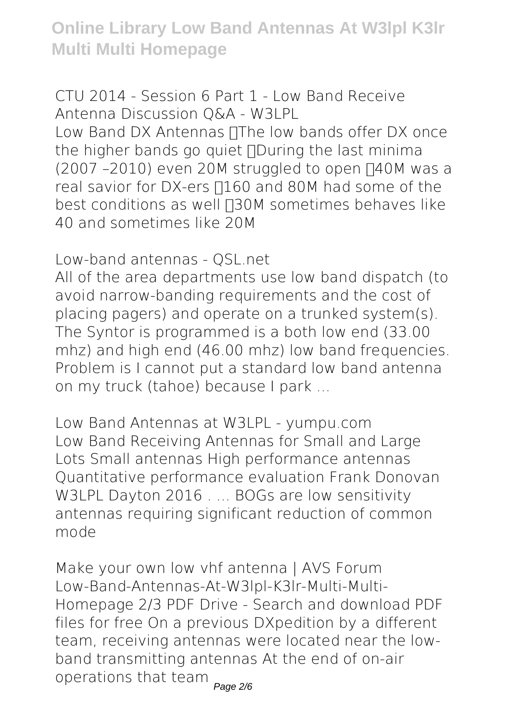**CTU 2014 - Session 6 Part 1 - Low Band Receive Antenna Discussion Q&A - W3LPL**

Low Band DX Antennas **TThe low bands offer DX once** the higher bands go quiet  $\Box$ During the last minima  $(2007 - 2010)$  even 20M struggled to open  $\Pi 40M$  was a real savior for DX-ers  $\Box$ 160 and 80M had some of the best conditions as well [130M sometimes behaves like] 40 and sometimes like 20M

**Low-band antennas - QSL.net**

All of the area departments use low band dispatch (to avoid narrow-banding requirements and the cost of placing pagers) and operate on a trunked system(s). The Syntor is programmed is a both low end (33.00 mhz) and high end (46.00 mhz) low band frequencies. Problem is I cannot put a standard low band antenna on my truck (tahoe) because I park ...

**Low Band Antennas at W3LPL - yumpu.com** Low Band Receiving Antennas for Small and Large Lots Small antennas High performance antennas Quantitative performance evaluation Frank Donovan W3LPL Dayton 2016 . ... BOGs are low sensitivity antennas requiring significant reduction of common mode

**Make your own low vhf antenna | AVS Forum** Low-Band-Antennas-At-W3lpl-K3lr-Multi-Multi-Homepage 2/3 PDF Drive - Search and download PDF files for free On a previous DXpedition by a different team, receiving antennas were located near the lowband transmitting antennas At the end of on-air operations that team  $_{Page\ 2/6}$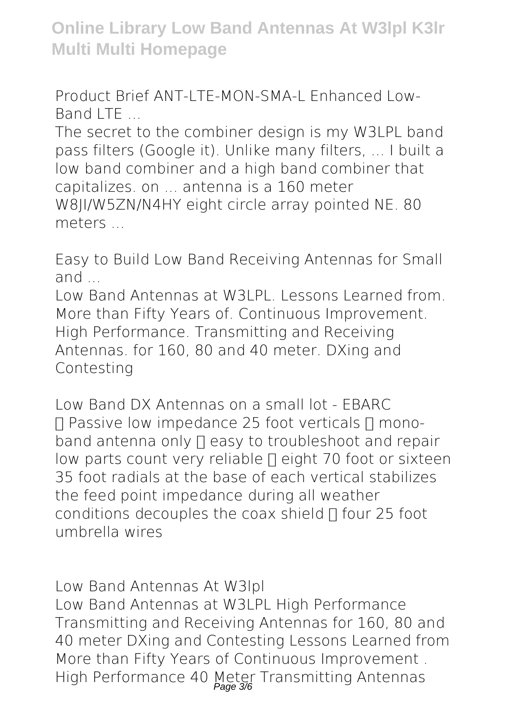**Product Brief ANT-LTE-MON-SMA-L Enhanced Low-Band LTE ...**

The secret to the combiner design is my W3LPL band pass filters (Google it). Unlike many filters, ... I built a low band combiner and a high band combiner that capitalizes. on ... antenna is a 160 meter W8JI/W5ZN/N4HY eight circle array pointed NE. 80 meters ...

**Easy to Build Low Band Receiving Antennas for Small and ...**

Low Band Antennas at W3LPL. Lessons Learned from. More than Fifty Years of. Continuous Improvement. High Performance. Transmitting and Receiving Antennas. for 160, 80 and 40 meter. DXing and Contesting

**Low Band DX Antennas on a small lot - EBARC**  $\Pi$  Passive low impedance 25 foot verticals  $\Pi$  monoband antenna only I easy to troubleshoot and repair low parts count very reliable  $\Pi$  eight 70 foot or sixteen 35 foot radials at the base of each vertical stabilizes the feed point impedance during all weather conditions decouples the coax shield  $\Pi$  four 25 foot umbrella wires

**Low Band Antennas At W3lpl**

Low Band Antennas at W3LPL High Performance Transmitting and Receiving Antennas for 160, 80 and 40 meter DXing and Contesting Lessons Learned from More than Fifty Years of Continuous Improvement . High Performance 40 Meter Transmitting Antennas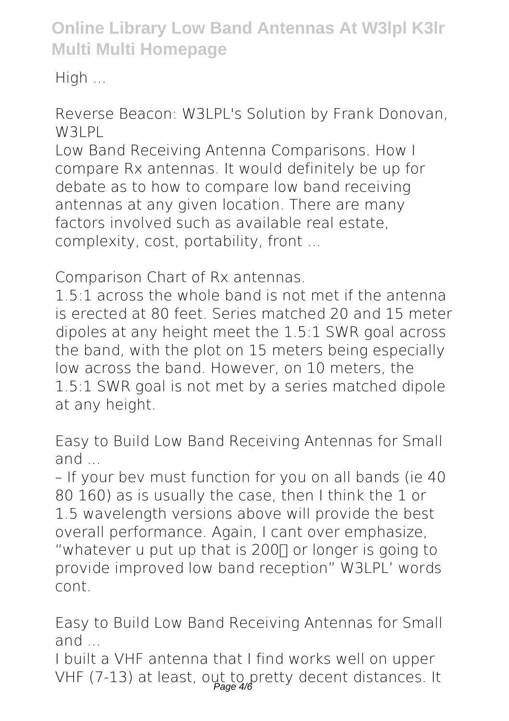High ...

**Reverse Beacon: W3LPL's Solution by Frank Donovan, W3LPL**

Low Band Receiving Antenna Comparisons. How I compare Rx antennas. It would definitely be up for debate as to how to compare low band receiving antennas at any given location. There are many factors involved such as available real estate, complexity, cost, portability, front ...

**Comparison Chart of Rx antennas.**

1.5:1 across the whole band is not met if the antenna is erected at 80 feet. Series matched 20 and 15 meter dipoles at any height meet the 1.5:1 SWR goal across the band, with the plot on 15 meters being especially low across the band. However, on 10 meters, the 1.5:1 SWR goal is not met by a series matched dipole at any height.

**Easy to Build Low Band Receiving Antennas for Small and ...**

– If your bev must function for you on all bands (ie 40 80 160) as is usually the case, then I think the 1 or 1.5 wavelength versions above will provide the best overall performance. Again, I cant over emphasize, "whatever u put up that is 2000 or longer is going to provide improved low band reception" W3LPL' words cont.

**Easy to Build Low Band Receiving Antennas for Small and ...**

I built a VHF antenna that I find works well on upper VHF (7-13) at least, out to pretty decent distances. It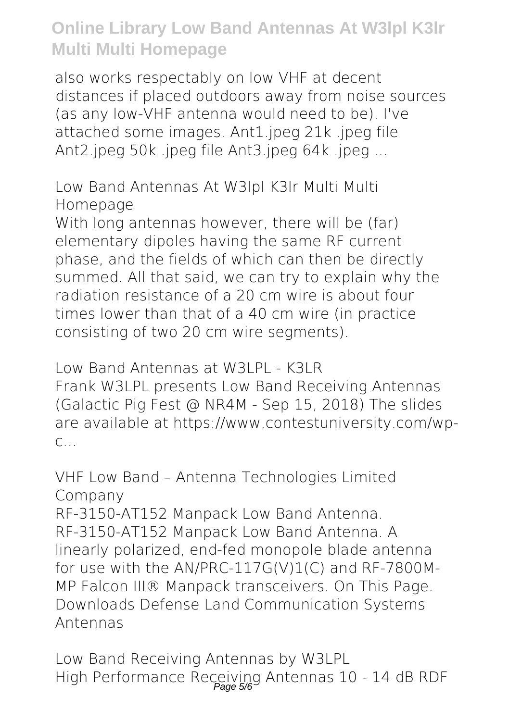also works respectably on low VHF at decent distances if placed outdoors away from noise sources (as any low-VHF antenna would need to be). I've attached some images. Ant1.jpeg 21k .jpeg file Ant2.jpeg 50k .jpeg file Ant3.jpeg 64k .jpeg ...

**Low Band Antennas At W3lpl K3lr Multi Multi Homepage**

With long antennas however, there will be (far) elementary dipoles having the same RF current phase, and the fields of which can then be directly summed. All that said, we can try to explain why the radiation resistance of a 20 cm wire is about four times lower than that of a 40 cm wire (in practice consisting of two 20 cm wire segments).

**Low Band Antennas at W3LPL - K3LR** Frank W3LPL presents Low Band Receiving Antennas (Galactic Pig Fest @ NR4M - Sep 15, 2018) The slides are available at https://www.contestuniversity.com/wpc...

**VHF Low Band – Antenna Technologies Limited Company**

RF-3150-AT152 Manpack Low Band Antenna. RF-3150-AT152 Manpack Low Band Antenna. A linearly polarized, end-fed monopole blade antenna for use with the AN/PRC-117G(V)1(C) and RF-7800M-MP Falcon III® Manpack transceivers. On This Page. Downloads Defense Land Communication Systems Antennas

**Low Band Receiving Antennas by W3LPL** High Performance Receiving Antennas 10 - 14 dB RDF